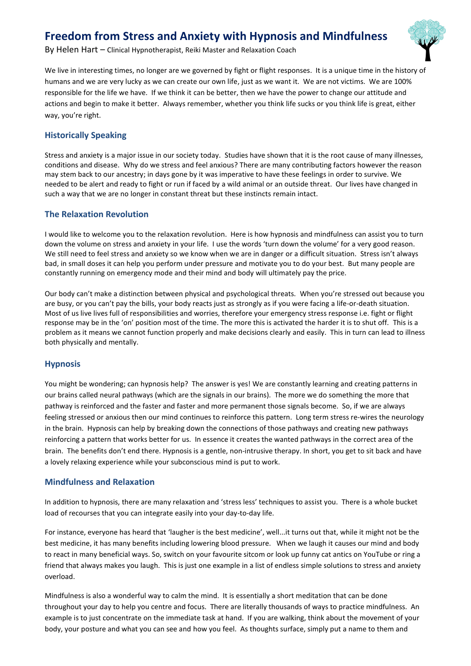# **Freedom from Stress and Anxiety with Hypnosis and Mindfulness**



We live in interesting times, no longer are we governed by fight or flight responses. It is a unique time in the history of humans and we are very lucky as we can create our own life, just as we want it. We are not victims. We are 100% responsible for the life we have. If we think it can be better, then we have the power to change our attitude and actions and begin to make it better. Always remember, whether you think life sucks or you think life is great, either way, you're right.

## **Historically Speaking**

Stress and anxiety is a major issue in our society today. Studies have shown that it is the root cause of many illnesses, conditions and disease. Why do we stress and feel anxious? There are many contributing factors however the reason may stem back to our ancestry; in days gone by it was imperative to have these feelings in order to survive. We needed to be alert and ready to fight or run if faced by a wild animal or an outside threat. Our lives have changed in such a way that we are no longer in constant threat but these instincts remain intact.

## **The Relaxation Revolution**

I would like to welcome you to the relaxation revolution. Here is how hypnosis and mindfulness can assist you to turn down the volume on stress and anxiety in your life. I use the words 'turn down the volume' for a very good reason. We still need to feel stress and anxiety so we know when we are in danger or a difficult situation. Stress isn't always bad, in small doses it can help you perform under pressure and motivate you to do your best. But many people are constantly running on emergency mode and their mind and body will ultimately pay the price.

Our body can't make a distinction between physical and psychological threats. When you're stressed out because you are busy, or you can't pay the bills, your body reacts just as strongly as if you were facing a life-or-death situation. Most of us live lives full of responsibilities and worries, therefore your emergency stress response i.e. fight or flight response may be in the 'on' position most of the time. The more this is activated the harder it is to shut off. This is a problem as it means we cannot function properly and make decisions clearly and easily. This in turn can lead to illness both physically and mentally.

### **Hypnosis**

You might be wondering; can hypnosis help? The answer is yes! We are constantly learning and creating patterns in our brains called neural pathways (which are the signals in our brains). The more we do something the more that pathway is reinforced and the faster and faster and more permanent those signals become. So, if we are always feeling stressed or anxious then our mind continues to reinforce this pattern. Long term stress re-wires the neurology in the brain. Hypnosis can help by breaking down the connections of those pathways and creating new pathways reinforcing a pattern that works better for us. In essence it creates the wanted pathways in the correct area of the brain. The benefits don't end there. Hypnosis is a gentle, non-intrusive therapy. In short, you get to sit back and have a lovely relaxing experience while your subconscious mind is put to work.

### **Mindfulness and Relaxation**

In addition to hypnosis, there are many relaxation and 'stress less' techniques to assist you. There is a whole bucket load of recourses that you can integrate easily into your day-to-day life.

For instance, everyone has heard that 'laugher is the best medicine', well...it turns out that, while it might not be the best medicine, it has many benefits including lowering blood pressure. When we laugh it causes our mind and body to react in many beneficial ways. So, switch on your favourite sitcom or look up funny cat antics on YouTube or ring a friend that always makes you laugh. This is just one example in a list of endless simple solutions to stress and anxiety overload.

Mindfulness is also a wonderful way to calm the mind. It is essentially a short meditation that can be done throughout your day to help you centre and focus. There are literally thousands of ways to practice mindfulness. An example is to just concentrate on the immediate task at hand. If you are walking, think about the movement of your body, your posture and what you can see and how you feel. As thoughts surface, simply put a name to them and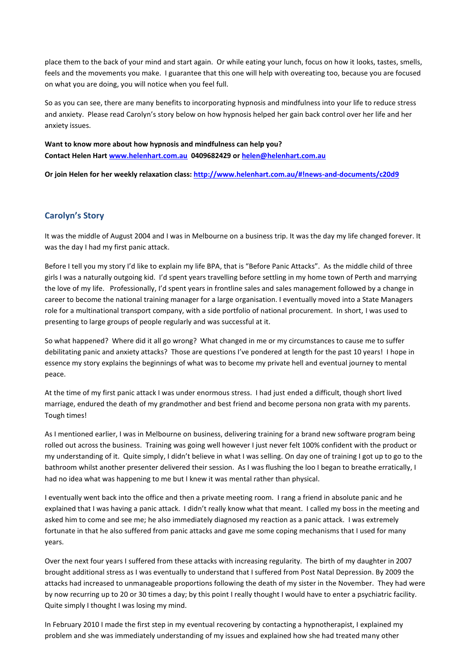place them to the back of your mind and start again. Or while eating your lunch, focus on how it looks, tastes, smells, feels and the movements you make. I guarantee that this one will help with overeating too, because you are focused on what you are doing, you will notice when you feel full.

So as you can see, there are many benefits to incorporating hypnosis and mindfulness into your life to reduce stress and anxiety. Please read Carolyn's story below on how hypnosis helped her gain back control over her life and her anxiety issues.

**Want to know more about how hypnosis and mindfulness can help you? Contact Helen Hart [www.helenhart.com.au](http://www.helenhart.com.au/) 0409682429 o[r helen@helenhart.com.au](mailto:helen@helenhart.com.au)**

**Or join Helen for her weekly relaxation class: <http://www.helenhart.com.au/#!news-and-documents/c20d9>**

#### **Carolyn's Story**

It was the middle of August 2004 and I was in Melbourne on a business trip. It was the day my life changed forever. It was the day I had my first panic attack.

Before I tell you my story I'd like to explain my life BPA, that is "Before Panic Attacks". As the middle child of three girls I was a naturally outgoing kid. I'd spent years travelling before settling in my home town of Perth and marrying the love of my life. Professionally, I'd spent years in frontline sales and sales management followed by a change in career to become the national training manager for a large organisation. I eventually moved into a State Managers role for a multinational transport company, with a side portfolio of national procurement. In short, I was used to presenting to large groups of people regularly and was successful at it.

So what happened? Where did it all go wrong? What changed in me or my circumstances to cause me to suffer debilitating panic and anxiety attacks? Those are questions I've pondered at length for the past 10 years! I hope in essence my story explains the beginnings of what was to become my private hell and eventual journey to mental peace.

At the time of my first panic attack I was under enormous stress. I had just ended a difficult, though short lived marriage, endured the death of my grandmother and best friend and become persona non grata with my parents. Tough times!

As I mentioned earlier, I was in Melbourne on business, delivering training for a brand new software program being rolled out across the business. Training was going well however I just never felt 100% confident with the product or my understanding of it. Quite simply, I didn't believe in what I was selling. On day one of training I got up to go to the bathroom whilst another presenter delivered their session. As I was flushing the loo I began to breathe erratically, I had no idea what was happening to me but I knew it was mental rather than physical.

I eventually went back into the office and then a private meeting room. I rang a friend in absolute panic and he explained that I was having a panic attack. I didn't really know what that meant. I called my boss in the meeting and asked him to come and see me; he also immediately diagnosed my reaction as a panic attack. I was extremely fortunate in that he also suffered from panic attacks and gave me some coping mechanisms that I used for many years.

Over the next four years I suffered from these attacks with increasing regularity. The birth of my daughter in 2007 brought additional stress as I was eventually to understand that I suffered from Post Natal Depression. By 2009 the attacks had increased to unmanageable proportions following the death of my sister in the November. They had were by now recurring up to 20 or 30 times a day; by this point I really thought I would have to enter a psychiatric facility. Quite simply I thought I was losing my mind.

In February 2010 I made the first step in my eventual recovering by contacting a hypnotherapist, I explained my problem and she was immediately understanding of my issues and explained how she had treated many other